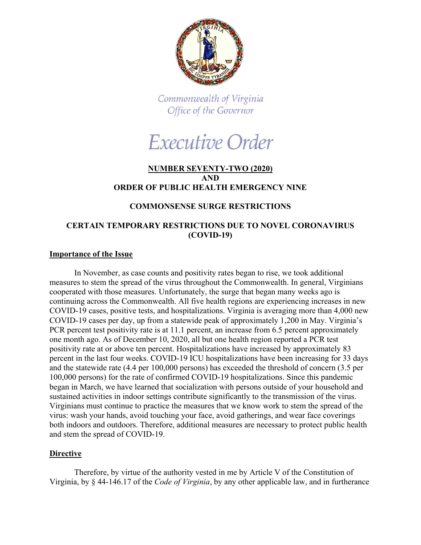

Commonwealth of Virginia Office of the Governor

# Executive Order

## **NUMBER SEVENTY-TWO (2020) AND ORDER OF PUBLIC HEALTH EMERGENCY NINE**

# **COMMONSENSE SURGE RESTRICTIONS**

# **CERTAIN TEMPORARY RESTRICTIONS DUE TO NOVEL CORONAVIRUS (COVID-19)**

#### **Importance of the Issue**

In November, as case counts and positivity rates began to rise, we took additional measures to stem the spread of the virus throughout the Commonwealth. In general, Virginians cooperated with those measures. Unfortunately, the surge that began many weeks ago is continuing across the Commonwealth. All five health regions are experiencing increases in new COVID-19 cases, positive tests, and hospitalizations. Virginia is averaging more than 4,000 new COVID-19 cases per day, up from a statewide peak of approximately 1,200 in May. Virginia's PCR percent test positivity rate is at 11.1 percent, an increase from 6.5 percent approximately one month ago. As of December 10, 2020, all but one health region reported a PCR test positivity rate at or above ten percent. Hospitalizations have increased by approximately 83 percent in the last four weeks. COVID-19 ICU hospitalizations have been increasing for 33 days and the statewide rate (4.4 per 100,000 persons) has exceeded the threshold of concern (3.5 per 100,000 persons) for the rate of confirmed COVID-19 hospitalizations. Since this pandemic began in March, we have learned that socialization with persons outside of your household and sustained activities in indoor settings contribute significantly to the transmission of the virus. Virginians must continue to practice the measures that we know work to stem the spread of the virus: wash your hands, avoid touching your face, avoid gatherings, and wear face coverings both indoors and outdoors. Therefore, additional measures are necessary to protect public health and stem the spread of COVID-19.

## **Directive**

Therefore, by virtue of the authority vested in me by Article V of the Constitution of Virginia, by § 44-146.17 of the *Code of Virginia*, by any other applicable law, and in furtherance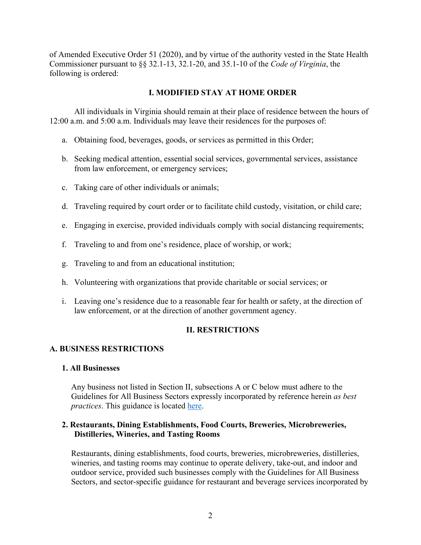of Amended Executive Order 51 (2020), and by virtue of the authority vested in the State Health Commissioner pursuant to §§ 32.1-13, 32.1-20, and 35.1-10 of the *Code of Virginia*, the following is ordered:

## **I. MODIFIED STAY AT HOME ORDER**

All individuals in Virginia should remain at their place of residence between the hours of 12:00 a.m. and 5:00 a.m. Individuals may leave their residences for the purposes of:

- a. Obtaining food, beverages, goods, or services as permitted in this Order;
- b. Seeking medical attention, essential social services, governmental services, assistance from law enforcement, or emergency services;
- c. Taking care of other individuals or animals;
- d. Traveling required by court order or to facilitate child custody, visitation, or child care;
- e. Engaging in exercise, provided individuals comply with social distancing requirements;
- f. Traveling to and from one's residence, place of worship, or work;
- g. Traveling to and from an educational institution;
- h. Volunteering with organizations that provide charitable or social services; or
- i. Leaving one's residence due to a reasonable fear for health or safety, at the direction of law enforcement, or at the direction of another government agency.

## **II. RESTRICTIONS**

## **A. BUSINESS RESTRICTIONS**

#### **1. All Businesses**

Any business not listed in Section II, subsections A or C below must adhere to the Guidelines for All Business Sectors expressly incorporated by reference herein *as best practices*. This guidance is located [here.](https://www.governor.virginia.gov/media/governorvirginiagov/governor-of-virginia/pdf/Forward-Virginia-Phase-Three-Guidelines-December-2020.pdf)

## **2. Restaurants, Dining Establishments, Food Courts, Breweries, Microbreweries, Distilleries, Wineries, and Tasting Rooms**

Restaurants, dining establishments, food courts, breweries, microbreweries, distilleries, wineries, and tasting rooms may continue to operate delivery, take-out, and indoor and outdoor service, provided such businesses comply with the Guidelines for All Business Sectors, and sector-specific guidance for restaurant and beverage services incorporated by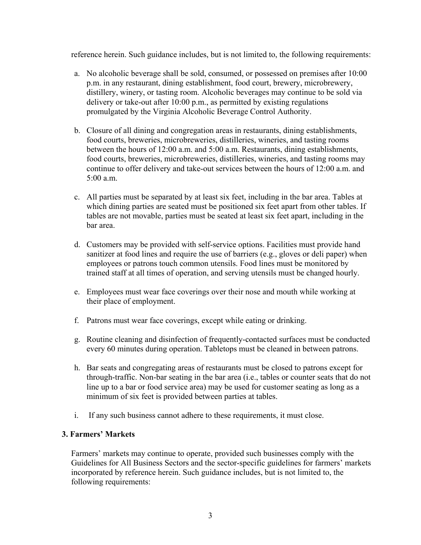reference herein. Such guidance includes, but is not limited to, the following requirements:

- a. No alcoholic beverage shall be sold, consumed, or possessed on premises after 10:00 p.m. in any restaurant, dining establishment, food court, brewery, microbrewery, distillery, winery, or tasting room. Alcoholic beverages may continue to be sold via delivery or take-out after 10:00 p.m., as permitted by existing regulations promulgated by the Virginia Alcoholic Beverage Control Authority.
- b. Closure of all dining and congregation areas in restaurants, dining establishments, food courts, breweries, microbreweries, distilleries, wineries, and tasting rooms between the hours of 12:00 a.m. and 5:00 a.m. Restaurants, dining establishments, food courts, breweries, microbreweries, distilleries, wineries, and tasting rooms may continue to offer delivery and take-out services between the hours of 12:00 a.m. and 5:00 a.m.
- c. All parties must be separated by at least six feet, including in the bar area. Tables at which dining parties are seated must be positioned six feet apart from other tables. If tables are not movable, parties must be seated at least six feet apart, including in the bar area.
- d. Customers may be provided with self-service options. Facilities must provide hand sanitizer at food lines and require the use of barriers (e.g., gloves or deli paper) when employees or patrons touch common utensils. Food lines must be monitored by trained staff at all times of operation, and serving utensils must be changed hourly.
- e. Employees must wear face coverings over their nose and mouth while working at their place of employment.
- f. Patrons must wear face coverings, except while eating or drinking.
- g. Routine cleaning and disinfection of frequently-contacted surfaces must be conducted every 60 minutes during operation. Tabletops must be cleaned in between patrons.
- h. Bar seats and congregating areas of restaurants must be closed to patrons except for through-traffic. Non-bar seating in the bar area (i.e., tables or counter seats that do not line up to a bar or food service area) may be used for customer seating as long as a minimum of six feet is provided between parties at tables.
- i. If any such business cannot adhere to these requirements, it must close.

#### **3. Farmers' Markets**

Farmers' markets may continue to operate, provided such businesses comply with the Guidelines for All Business Sectors and the sector-specific guidelines for farmers' markets incorporated by reference herein. Such guidance includes, but is not limited to, the following requirements: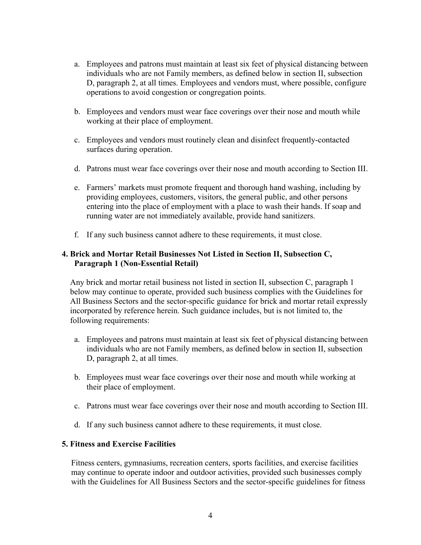- a. Employees and patrons must maintain at least six feet of physical distancing between individuals who are not Family members, as defined below in section II, subsection D, paragraph 2, at all times. Employees and vendors must, where possible, configure operations to avoid congestion or congregation points.
- b. Employees and vendors must wear face coverings over their nose and mouth while working at their place of employment.
- c. Employees and vendors must routinely clean and disinfect frequently-contacted surfaces during operation.
- d. Patrons must wear face coverings over their nose and mouth according to Section III.
- e. Farmers' markets must promote frequent and thorough hand washing, including by providing employees, customers, visitors, the general public, and other persons entering into the place of employment with a place to wash their hands. If soap and running water are not immediately available, provide hand sanitizers.
- f. If any such business cannot adhere to these requirements, it must close.

# **4. Brick and Mortar Retail Businesses Not Listed in Section II, Subsection C, Paragraph 1 (Non-Essential Retail)**

Any brick and mortar retail business not listed in section II, subsection C, paragraph 1 below may continue to operate, provided such business complies with the Guidelines for All Business Sectors and the sector-specific guidance for brick and mortar retail expressly incorporated by reference herein. Such guidance includes, but is not limited to, the following requirements:

- a. Employees and patrons must maintain at least six feet of physical distancing between individuals who are not Family members, as defined below in section II, subsection D, paragraph 2, at all times.
- b. Employees must wear face coverings over their nose and mouth while working at their place of employment.
- c. Patrons must wear face coverings over their nose and mouth according to Section III.
- d. If any such business cannot adhere to these requirements, it must close.

## **5. Fitness and Exercise Facilities**

Fitness centers, gymnasiums, recreation centers, sports facilities, and exercise facilities may continue to operate indoor and outdoor activities, provided such businesses comply with the Guidelines for All Business Sectors and the sector-specific guidelines for fitness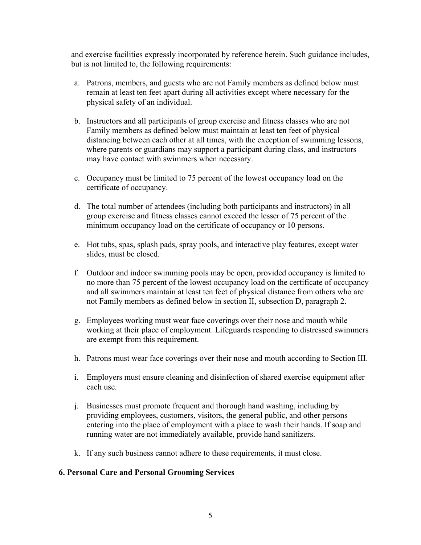and exercise facilities expressly incorporated by reference herein. Such guidance includes, but is not limited to, the following requirements:

- a. Patrons, members, and guests who are not Family members as defined below must remain at least ten feet apart during all activities except where necessary for the physical safety of an individual.
- b. Instructors and all participants of group exercise and fitness classes who are not Family members as defined below must maintain at least ten feet of physical distancing between each other at all times, with the exception of swimming lessons, where parents or guardians may support a participant during class, and instructors may have contact with swimmers when necessary.
- c. Occupancy must be limited to 75 percent of the lowest occupancy load on the certificate of occupancy.
- d. The total number of attendees (including both participants and instructors) in all group exercise and fitness classes cannot exceed the lesser of 75 percent of the minimum occupancy load on the certificate of occupancy or 10 persons.
- e. Hot tubs, spas, splash pads, spray pools, and interactive play features, except water slides, must be closed.
- f. Outdoor and indoor swimming pools may be open, provided occupancy is limited to no more than 75 percent of the lowest occupancy load on the certificate of occupancy and all swimmers maintain at least ten feet of physical distance from others who are not Family members as defined below in section II, subsection D, paragraph 2.
- g. Employees working must wear face coverings over their nose and mouth while working at their place of employment. Lifeguards responding to distressed swimmers are exempt from this requirement.
- h. Patrons must wear face coverings over their nose and mouth according to Section III.
- i. Employers must ensure cleaning and disinfection of shared exercise equipment after each use.
- j. Businesses must promote frequent and thorough hand washing, including by providing employees, customers, visitors, the general public, and other persons entering into the place of employment with a place to wash their hands. If soap and running water are not immediately available, provide hand sanitizers.
- k. If any such business cannot adhere to these requirements, it must close.

#### **6. Personal Care and Personal Grooming Services**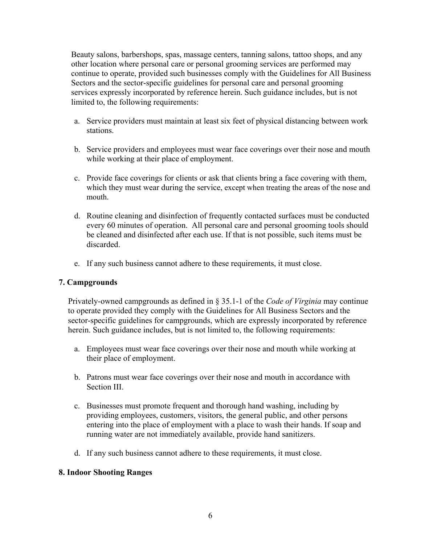Beauty salons, barbershops, spas, massage centers, tanning salons, tattoo shops, and any other location where personal care or personal grooming services are performed may continue to operate, provided such businesses comply with the Guidelines for All Business Sectors and the sector-specific guidelines for personal care and personal grooming services expressly incorporated by reference herein. Such guidance includes, but is not limited to, the following requirements:

- a. Service providers must maintain at least six feet of physical distancing between work stations.
- b. Service providers and employees must wear face coverings over their nose and mouth while working at their place of employment.
- c. Provide face coverings for clients or ask that clients bring a face covering with them, which they must wear during the service, except when treating the areas of the nose and mouth.
- d. Routine cleaning and disinfection of frequently contacted surfaces must be conducted every 60 minutes of operation. All personal care and personal grooming tools should be cleaned and disinfected after each use. If that is not possible, such items must be discarded.
- e. If any such business cannot adhere to these requirements, it must close.

## **7. Campgrounds**

Privately-owned campgrounds as defined in § 35.1-1 of the *Code of Virginia* may continue to operate provided they comply with the Guidelines for All Business Sectors and the sector-specific guidelines for campgrounds, which are expressly incorporated by reference herein. Such guidance includes, but is not limited to, the following requirements:

- a. Employees must wear face coverings over their nose and mouth while working at their place of employment.
- b. Patrons must wear face coverings over their nose and mouth in accordance with Section III.
- c. Businesses must promote frequent and thorough hand washing, including by providing employees, customers, visitors, the general public, and other persons entering into the place of employment with a place to wash their hands. If soap and running water are not immediately available, provide hand sanitizers.
- d. If any such business cannot adhere to these requirements, it must close.

## **8. Indoor Shooting Ranges**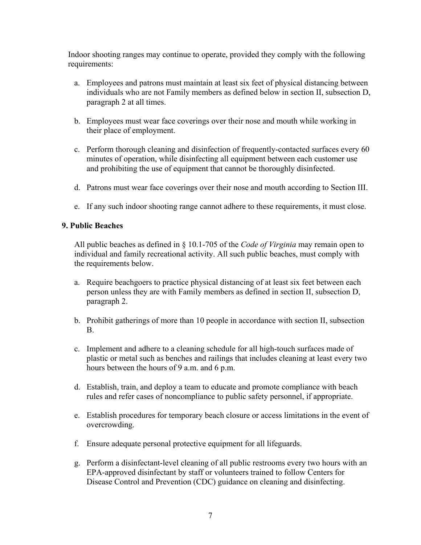Indoor shooting ranges may continue to operate, provided they comply with the following requirements:

- a. Employees and patrons must maintain at least six feet of physical distancing between individuals who are not Family members as defined below in section II, subsection D, paragraph 2 at all times.
- b. Employees must wear face coverings over their nose and mouth while working in their place of employment.
- c. Perform thorough cleaning and disinfection of frequently-contacted surfaces every 60 minutes of operation, while disinfecting all equipment between each customer use and prohibiting the use of equipment that cannot be thoroughly disinfected.
- d. Patrons must wear face coverings over their nose and mouth according to Section III.
- e. If any such indoor shooting range cannot adhere to these requirements, it must close.

#### **9. Public Beaches**

All public beaches as defined in § 10.1-705 of the *Code of Virginia* may remain open to individual and family recreational activity. All such public beaches, must comply with the requirements below.

- a. Require beachgoers to practice physical distancing of at least six feet between each person unless they are with Family members as defined in section II, subsection D, paragraph 2.
- b. Prohibit gatherings of more than 10 people in accordance with section II, subsection B.
- c. Implement and adhere to a cleaning schedule for all high-touch surfaces made of plastic or metal such as benches and railings that includes cleaning at least every two hours between the hours of 9 a.m. and 6 p.m.
- d. Establish, train, and deploy a team to educate and promote compliance with beach rules and refer cases of noncompliance to public safety personnel, if appropriate.
- e. Establish procedures for temporary beach closure or access limitations in the event of overcrowding.
- f. Ensure adequate personal protective equipment for all lifeguards.
- g. Perform a disinfectant-level cleaning of all public restrooms every two hours with an EPA-approved disinfectant by staff or volunteers trained to follow Centers for Disease Control and Prevention (CDC) guidance on cleaning and disinfecting.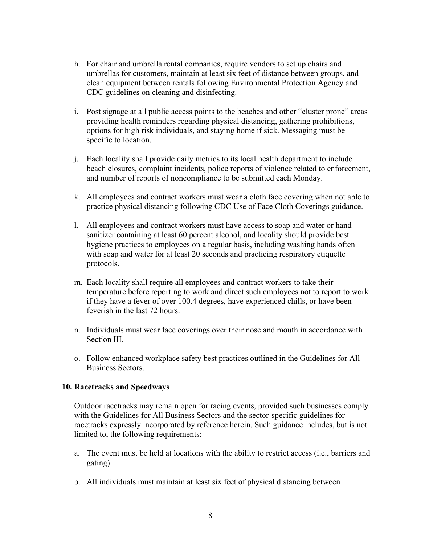- h. For chair and umbrella rental companies, require vendors to set up chairs and umbrellas for customers, maintain at least six feet of distance between groups, and clean equipment between rentals following Environmental Protection Agency and CDC guidelines on cleaning and disinfecting.
- i. Post signage at all public access points to the beaches and other "cluster prone" areas providing health reminders regarding physical distancing, gathering prohibitions, options for high risk individuals, and staying home if sick. Messaging must be specific to location.
- j. Each locality shall provide daily metrics to its local health department to include beach closures, complaint incidents, police reports of violence related to enforcement, and number of reports of noncompliance to be submitted each Monday.
- k. All employees and contract workers must wear a cloth face covering when not able to practice physical distancing following CDC Use of Face Cloth Coverings guidance.
- l. All employees and contract workers must have access to soap and water or hand sanitizer containing at least 60 percent alcohol, and locality should provide best hygiene practices to employees on a regular basis, including washing hands often with soap and water for at least 20 seconds and practicing respiratory etiquette protocols.
- m. Each locality shall require all employees and contract workers to take their temperature before reporting to work and direct such employees not to report to work if they have a fever of over 100.4 degrees, have experienced chills, or have been feverish in the last 72 hours.
- n. Individuals must wear face coverings over their nose and mouth in accordance with Section III.
- o. Follow enhanced workplace safety best practices outlined in the Guidelines for All Business Sectors.

#### **10. Racetracks and Speedways**

Outdoor racetracks may remain open for racing events, provided such businesses comply with the Guidelines for All Business Sectors and the sector-specific guidelines for racetracks expressly incorporated by reference herein. Such guidance includes, but is not limited to, the following requirements:

- a. The event must be held at locations with the ability to restrict access (i.e., barriers and gating).
- b. All individuals must maintain at least six feet of physical distancing between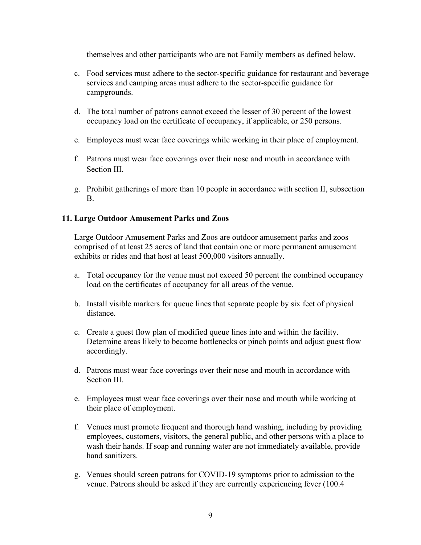themselves and other participants who are not Family members as defined below.

- c. Food services must adhere to the sector-specific guidance for restaurant and beverage services and camping areas must adhere to the sector-specific guidance for campgrounds.
- d. The total number of patrons cannot exceed the lesser of 30 percent of the lowest occupancy load on the certificate of occupancy, if applicable, or 250 persons.
- e. Employees must wear face coverings while working in their place of employment.
- f. Patrons must wear face coverings over their nose and mouth in accordance with Section III.
- g. Prohibit gatherings of more than 10 people in accordance with section II, subsection B.

#### **11. Large Outdoor Amusement Parks and Zoos**

Large Outdoor Amusement Parks and Zoos are outdoor amusement parks and zoos comprised of at least 25 acres of land that contain one or more permanent amusement exhibits or rides and that host at least 500,000 visitors annually.

- a. Total occupancy for the venue must not exceed 50 percent the combined occupancy load on the certificates of occupancy for all areas of the venue.
- b. Install visible markers for queue lines that separate people by six feet of physical distance.
- c. Create a guest flow plan of modified queue lines into and within the facility. Determine areas likely to become bottlenecks or pinch points and adjust guest flow accordingly.
- d. Patrons must wear face coverings over their nose and mouth in accordance with Section III.
- e. Employees must wear face coverings over their nose and mouth while working at their place of employment.
- f. Venues must promote frequent and thorough hand washing, including by providing employees, customers, visitors, the general public, and other persons with a place to wash their hands. If soap and running water are not immediately available, provide hand sanitizers.
- g. Venues should screen patrons for COVID-19 symptoms prior to admission to the venue. Patrons should be asked if they are currently experiencing fever (100.4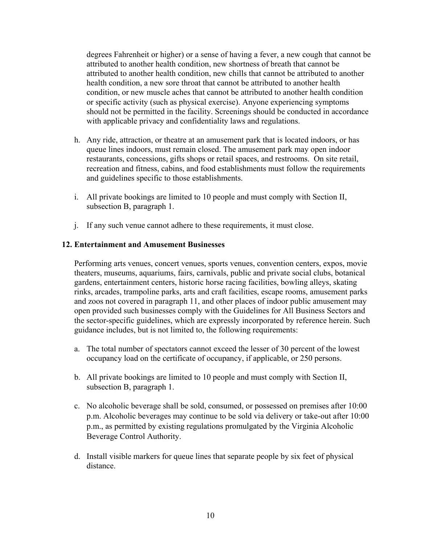degrees Fahrenheit or higher) or a sense of having a fever, a new cough that cannot be attributed to another health condition, new shortness of breath that cannot be attributed to another health condition, new chills that cannot be attributed to another health condition, a new sore throat that cannot be attributed to another health condition, or new muscle aches that cannot be attributed to another health condition or specific activity (such as physical exercise). Anyone experiencing symptoms should not be permitted in the facility. Screenings should be conducted in accordance with applicable privacy and confidentiality laws and regulations.

- h. Any ride, attraction, or theatre at an amusement park that is located indoors, or has queue lines indoors, must remain closed. The amusement park may open indoor restaurants, concessions, gifts shops or retail spaces, and restrooms. On site retail, recreation and fitness, cabins, and food establishments must follow the requirements and guidelines specific to those establishments.
- i. All private bookings are limited to 10 people and must comply with Section II, subsection B, paragraph 1.
- j. If any such venue cannot adhere to these requirements, it must close.

#### **12. Entertainment and Amusement Businesses**

Performing arts venues, concert venues, sports venues, convention centers, expos, movie theaters, museums, aquariums, fairs, carnivals, public and private social clubs, botanical gardens, entertainment centers, historic horse racing facilities, bowling alleys, skating rinks, arcades, trampoline parks, arts and craft facilities, escape rooms, amusement parks and zoos not covered in paragraph 11, and other places of indoor public amusement may open provided such businesses comply with the Guidelines for All Business Sectors and the sector-specific guidelines, which are expressly incorporated by reference herein. Such guidance includes, but is not limited to, the following requirements:

- a. The total number of spectators cannot exceed the lesser of 30 percent of the lowest occupancy load on the certificate of occupancy, if applicable, or 250 persons.
- b. All private bookings are limited to 10 people and must comply with Section II, subsection B, paragraph 1.
- c. No alcoholic beverage shall be sold, consumed, or possessed on premises after 10:00 p.m. Alcoholic beverages may continue to be sold via delivery or take-out after 10:00 p.m., as permitted by existing regulations promulgated by the Virginia Alcoholic Beverage Control Authority.
- d. Install visible markers for queue lines that separate people by six feet of physical distance.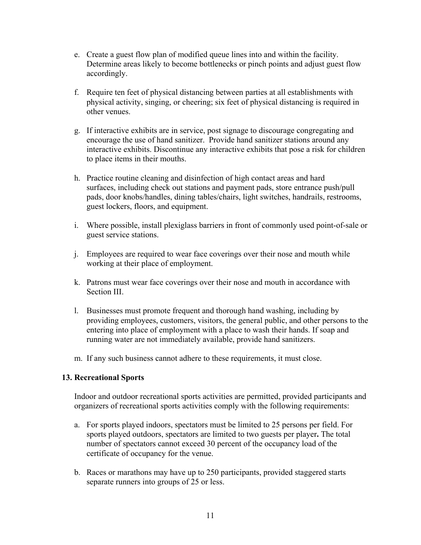- e. Create a guest flow plan of modified queue lines into and within the facility. Determine areas likely to become bottlenecks or pinch points and adjust guest flow accordingly.
- f. Require ten feet of physical distancing between parties at all establishments with physical activity, singing, or cheering; six feet of physical distancing is required in other venues.
- g. If interactive exhibits are in service, post signage to discourage congregating and encourage the use of hand sanitizer. Provide hand sanitizer stations around any interactive exhibits. Discontinue any interactive exhibits that pose a risk for children to place items in their mouths.
- h. Practice routine cleaning and disinfection of high contact areas and hard surfaces, including check out stations and payment pads, store entrance push/pull pads, door knobs/handles, dining tables/chairs, light switches, handrails, restrooms, guest lockers, floors, and equipment.
- i. Where possible, install plexiglass barriers in front of commonly used point-of-sale or guest service stations.
- j. Employees are required to wear face coverings over their nose and mouth while working at their place of employment.
- k. Patrons must wear face coverings over their nose and mouth in accordance with Section III.
- l. Businesses must promote frequent and thorough hand washing, including by providing employees, customers, visitors, the general public, and other persons to the entering into place of employment with a place to wash their hands. If soap and running water are not immediately available, provide hand sanitizers.
- m. If any such business cannot adhere to these requirements, it must close.

#### **13. Recreational Sports**

Indoor and outdoor recreational sports activities are permitted, provided participants and organizers of recreational sports activities comply with the following requirements:

- a. For sports played indoors, spectators must be limited to 25 persons per field. For sports played outdoors, spectators are limited to two guests per player**.** The total number of spectators cannot exceed 30 percent of the occupancy load of the certificate of occupancy for the venue.
- b. Races or marathons may have up to 250 participants, provided staggered starts separate runners into groups of 25 or less.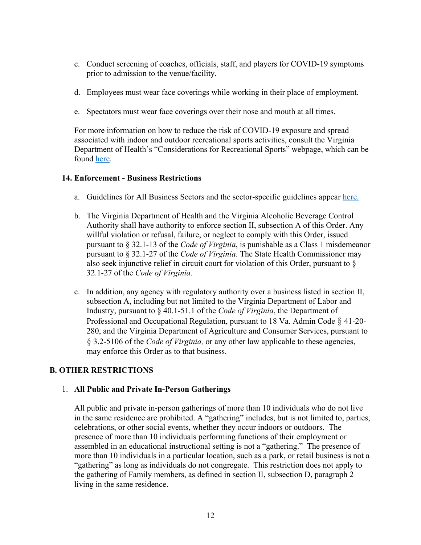- c. Conduct screening of coaches, officials, staff, and players for COVID-19 symptoms prior to admission to the venue/facility.
- d. Employees must wear face coverings while working in their place of employment.
- e. Spectators must wear face coverings over their nose and mouth at all times.

For more information on how to reduce the risk of COVID-19 exposure and spread associated with indoor and outdoor recreational sports activities, consult the Virginia Department of Health's "Considerations for Recreational Sports" webpage, which can be found [here.](https://www.vdh.virginia.gov/coronavirus/schools-workplaces-community-locations/sports/)

#### **14. Enforcement - Business Restrictions**

- a. Guidelines for All Business Sectors and the sector-specific guidelines appear [here.](https://www.governor.virginia.gov/media/governorvirginiagov/governor-of-virginia/pdf/Forward-Virginia-Phase-Three-Guidelines-December-2020.pdf)
- b. The Virginia Department of Health and the Virginia Alcoholic Beverage Control Authority shall have authority to enforce section II, subsection A of this Order. Any willful violation or refusal, failure, or neglect to comply with this Order, issued pursuant to § 32.1-13 of the *Code of Virginia*, is punishable as a Class 1 misdemeanor pursuant to § 32.1-27 of the *Code of Virginia*. The State Health Commissioner may also seek injunctive relief in circuit court for violation of this Order, pursuant to § 32.1-27 of the *Code of Virginia*.
- c. In addition, any agency with regulatory authority over a business listed in section II, subsection A, including but not limited to the Virginia Department of Labor and Industry, pursuant to § 40.1-51.1 of the *Code of Virginia*, the Department of Professional and Occupational Regulation, pursuant to 18 [Va.](https://law.lis.virginia.gov/admincode/title18/agency41/chapter20/section280/) Admin Code § 41-20- 280, and the Virginia Department of Agriculture and Consumer Services, pursuant to § 3.2-5106 of the *Code of Virginia,* or any other law applicable to these agencies, may enforce this Order as to that business.

## **B. OTHER RESTRICTIONS**

# 1. **All Public and Private In-Person Gatherings**

All public and private in-person gatherings of more than 10 individuals who do not live in the same residence are prohibited. A "gathering" includes, but is not limited to, parties, celebrations, or other social events, whether they occur indoors or outdoors. The presence of more than 10 individuals performing functions of their employment or assembled in an educational instructional setting is not a "gathering." The presence of more than 10 individuals in a particular location, such as a park, or retail business is not a "gathering" as long as individuals do not congregate. This restriction does not apply to the gathering of Family members, as defined in section II, subsection D, paragraph 2 living in the same residence.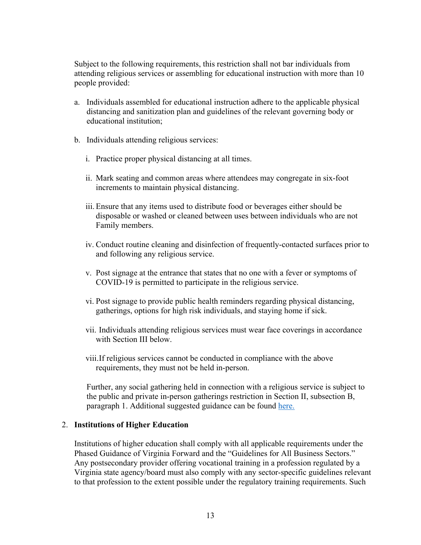Subject to the following requirements, this restriction shall not bar individuals from attending religious services or assembling for educational instruction with more than 10 people provided:

- a. Individuals assembled for educational instruction adhere to the applicable physical distancing and sanitization plan and guidelines of the relevant governing body or educational institution;
- b. Individuals attending religious services:
	- i. Practice proper physical distancing at all times.
	- ii. Mark seating and common areas where attendees may congregate in six-foot increments to maintain physical distancing.
	- iii. Ensure that any items used to distribute food or beverages either should be disposable or washed or cleaned between uses between individuals who are not Family members.
	- iv. Conduct routine cleaning and disinfection of frequently-contacted surfaces prior to and following any religious service.
	- v. Post signage at the entrance that states that no one with a fever or symptoms of COVID-19 is permitted to participate in the religious service.
	- vi. Post signage to provide public health reminders regarding physical distancing, gatherings, options for high risk individuals, and staying home if sick.
	- vii. Individuals attending religious services must wear face coverings in accordance with Section III below.
	- viii.If religious services cannot be conducted in compliance with the above requirements, they must not be held in-person.

Further, any social gathering held in connection with a religious service is subject to the public and private in-person gatherings restriction in Section II, subsection B, paragraph 1. Additional suggested guidance can be found [here.](https://www.governor.virginia.gov/media/governorvirginiagov/governor-of-virginia/pdf/Forward-Virginia-Phase-Three-Guidelines-December-2020.pdf)

#### 2. **Institutions of Higher Education**

Institutions of higher education shall comply with all applicable requirements under the Phased Guidance of Virginia Forward and the "Guidelines for All Business Sectors." Any postsecondary provider offering vocational training in a profession regulated by a Virginia state agency/board must also comply with any sector-specific guidelines relevant to that profession to the extent possible under the regulatory training requirements. Such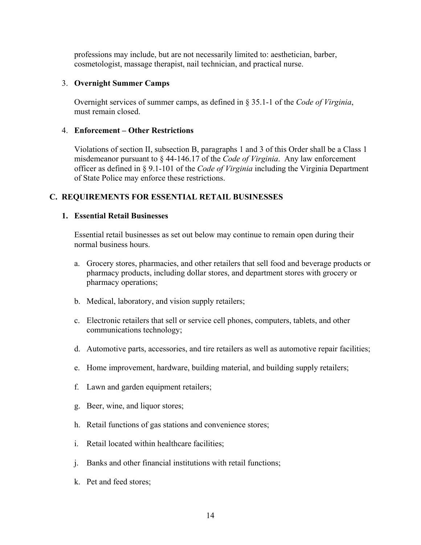professions may include, but are not necessarily limited to: aesthetician, barber, cosmetologist, massage therapist, nail technician, and practical nurse.

#### 3. **Overnight Summer Camps**

Overnight services of summer camps, as defined in § 35.1-1 of the *Code of Virginia*, must remain closed.

#### 4. **Enforcement – Other Restrictions**

Violations of section II, subsection B, paragraphs 1 and 3 of this Order shall be a Class 1 misdemeanor pursuant to § 44-146.17 of the *Code of Virginia*. Any law enforcement officer as defined in § 9.1-101 of the *Code of Virginia* including the Virginia Department of State Police may enforce these restrictions.

# **C. REQUIREMENTS FOR ESSENTIAL RETAIL BUSINESSES**

#### **1. Essential Retail Businesses**

Essential retail businesses as set out below may continue to remain open during their normal business hours.

- a. Grocery stores, pharmacies, and other retailers that sell food and beverage products or pharmacy products, including dollar stores, and department stores with grocery or pharmacy operations;
- b. Medical, laboratory, and vision supply retailers;
- c. Electronic retailers that sell or service cell phones, computers, tablets, and other communications technology;
- d. Automotive parts, accessories, and tire retailers as well as automotive repair facilities;
- e. Home improvement, hardware, building material, and building supply retailers;
- f. Lawn and garden equipment retailers;
- g. Beer, wine, and liquor stores;
- h. Retail functions of gas stations and convenience stores;
- i. Retail located within healthcare facilities;
- j. Banks and other financial institutions with retail functions;
- k. Pet and feed stores;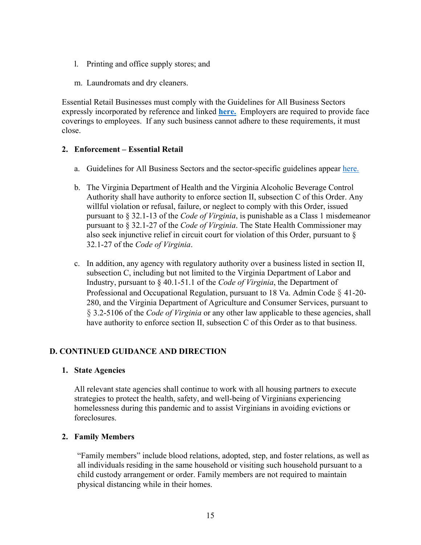- l. Printing and office supply stores; and
- m. Laundromats and dry cleaners.

Essential Retail Businesses must comply with the Guidelines for All Business Sectors expressly incorporated by reference and linked **[here.](https://www.governor.virginia.gov/media/governorvirginiagov/governor-of-virginia/pdf/Forward-Virginia-Phase-Three-Guidelines-December-2020.pdf)** Employers are required to provide face coverings to employees. If any such business cannot adhere to these requirements, it must close.

## **2. Enforcement – Essential Retail**

- a. Guidelines for All Business Sectors and the sector-specific guidelines appear [here.](https://www.governor.virginia.gov/media/governorvirginiagov/governor-of-virginia/pdf/Forward-Virginia-Phase-Three-Guidelines-December-2020.pdf)
- b. The Virginia Department of Health and the Virginia Alcoholic Beverage Control Authority shall have authority to enforce section II, subsection C of this Order. Any willful violation or refusal, failure, or neglect to comply with this Order, issued pursuant to § 32.1-13 of the *Code of Virginia*, is punishable as a Class 1 misdemeanor pursuant to § 32.1-27 of the *Code of Virginia*. The State Health Commissioner may also seek injunctive relief in circuit court for violation of this Order, pursuant to § 32.1-27 of the *Code of Virginia*.
- c. In addition, any agency with regulatory authority over a business listed in section II, subsection C, including but not limited to the Virginia Department of Labor and Industry, pursuant to § 40.1-51.1 of the *Code of Virginia*, the Department of Professional and Occupational Regulation, pursuant to 18 [Va.](https://law.lis.virginia.gov/admincode/title18/agency41/chapter20/section280/) Admin Code § 41-20- 280, and the Virginia Department of Agriculture and Consumer Services, pursuant to § 3.2-5106 of the *Code of Virginia* or any other law applicable to these agencies, shall have authority to enforce section II, subsection C of this Order as to that business.

## **D. CONTINUED GUIDANCE AND DIRECTION**

#### **1. State Agencies**

All relevant state agencies shall continue to work with all housing partners to execute strategies to protect the health, safety, and well-being of Virginians experiencing homelessness during this pandemic and to assist Virginians in avoiding evictions or foreclosures.

## **2. Family Members**

"Family members" include blood relations, adopted, step, and foster relations, as well as all individuals residing in the same household or visiting such household pursuant to a child custody arrangement or order. Family members are not required to maintain physical distancing while in their homes.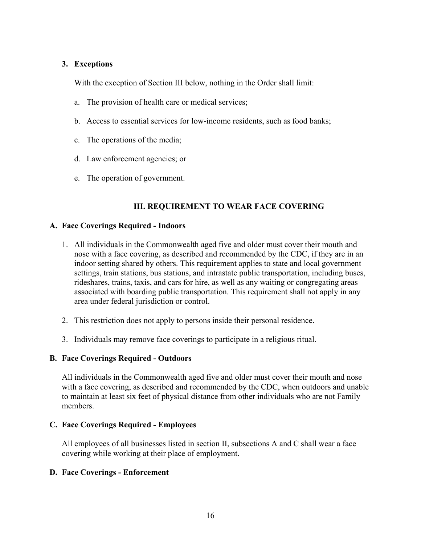## **3. Exceptions**

With the exception of Section III below, nothing in the Order shall limit:

- a. The provision of health care or medical services;
- b. Access to essential services for low-income residents, such as food banks;
- c. The operations of the media;
- d. Law enforcement agencies; or
- e. The operation of government.

# **III. REQUIREMENT TO WEAR FACE COVERING**

#### **A. Face Coverings Required - Indoors**

- 1. All individuals in the Commonwealth aged five and older must cover their mouth and nose with a face covering, as described and recommended by the CDC, if they are in an indoor setting shared by others. This requirement applies to state and local government settings, train stations, bus stations, and intrastate public transportation, including buses, rideshares, trains, taxis, and cars for hire, as well as any waiting or congregating areas associated with boarding public transportation. This requirement shall not apply in any area under federal jurisdiction or control.
- 2. This restriction does not apply to persons inside their personal residence.
- 3. Individuals may remove face coverings to participate in a religious ritual.

#### **B. Face Coverings Required - Outdoors**

All individuals in the Commonwealth aged five and older must cover their mouth and nose with a face covering, as described and recommended by the CDC, when outdoors and unable to maintain at least six feet of physical distance from other individuals who are not Family members.

#### **C. Face Coverings Required - Employees**

All employees of all businesses listed in section II, subsections A and C shall wear a face covering while working at their place of employment.

## **D. Face Coverings - Enforcement**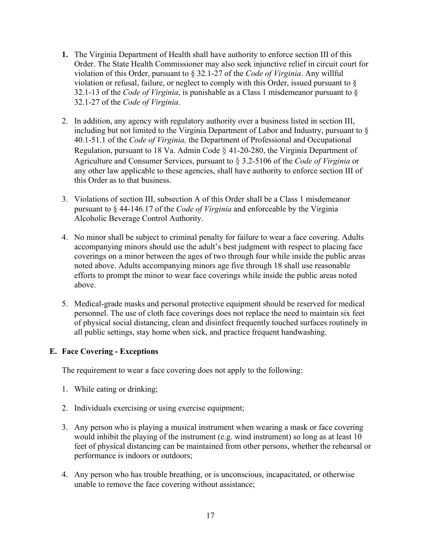- **1.** The Virginia Department of Health shall have authority to enforce section III of this Order. The State Health Commissioner may also seek injunctive relief in circuit court for violation of this Order, pursuant to § 32.1-27 of the *Code of Virginia*. Any willful violation or refusal, failure, or neglect to comply with this Order, issued pursuant to § 32.1-13 of the *Code of Virginia*, is punishable as a Class 1 misdemeanor pursuant to § 32.1-27 of the *Code of Virginia*.
- 2. In addition, any agency with regulatory authority over a business listed in section III, including but not limited to the Virginia Department of Labor and Industry, pursuant to § 40.1-51.1 of the *Code of Virginia,* the Department of Professional and Occupational Regulation, pursuant to 18 [Va.](https://law.lis.virginia.gov/admincode/title18/agency41/chapter20/section280/) Admin Code § 41-20-280, the Virginia Department of Agriculture and Consumer Services, pursuant to § 3.2-5106 of the *Code of Virginia* or any other law applicable to these agencies, shall have authority to enforce section III of this Order as to that business.
- 3. Violations of section III, subsection A of this Order shall be a Class 1 misdemeanor pursuant to § 44-146.17 of the *Code of Virginia* and enforceable by the Virginia Alcoholic Beverage Control Authority.
- 4. No minor shall be subject to criminal penalty for failure to wear a face covering. Adults accompanying minors should use the adult's best judgment with respect to placing face coverings on a minor between the ages of two through four while inside the public areas noted above. Adults accompanying minors age five through 18 shall use reasonable efforts to prompt the minor to wear face coverings while inside the public areas noted above.
- 5. Medical-grade masks and personal protective equipment should be reserved for medical personnel. The use of cloth face coverings does not replace the need to maintain six feet of physical social distancing, clean and disinfect frequently touched surfaces routinely in all public settings, stay home when sick, and practice frequent handwashing.

## **E. Face Covering - Exceptions**

The requirement to wear a face covering does not apply to the following:

- 1. While eating or drinking;
- 2. Individuals exercising or using exercise equipment;
- 3. Any person who is playing a musical instrument when wearing a mask or face covering would inhibit the playing of the instrument (e.g. wind instrument) so long as at least 10 feet of physical distancing can be maintained from other persons, whether the rehearsal or performance is indoors or outdoors;
- 4. Any person who has trouble breathing, or is unconscious, incapacitated, or otherwise unable to remove the face covering without assistance;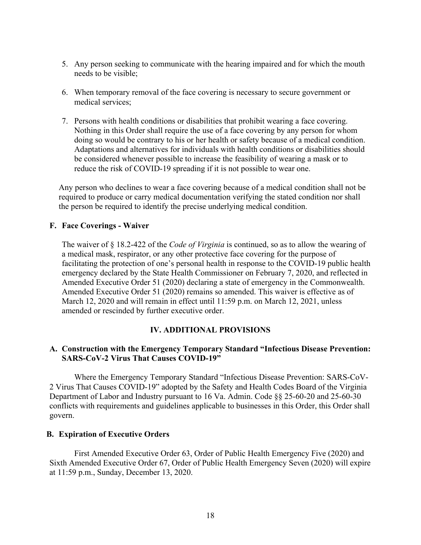- 5. Any person seeking to communicate with the hearing impaired and for which the mouth needs to be visible;
- 6. When temporary removal of the face covering is necessary to secure government or medical services;
- 7. Persons with health conditions or disabilities that prohibit wearing a face covering. Nothing in this Order shall require the use of a face covering by any person for whom doing so would be contrary to his or her health or safety because of a medical condition. Adaptations and alternatives for individuals with health conditions or disabilities should be considered whenever possible to increase the feasibility of wearing a mask or to reduce the risk of COVID-19 spreading if it is not possible to wear one.

Any person who declines to wear a face covering because of a medical condition shall not be required to produce or carry medical documentation verifying the stated condition nor shall the person be required to identify the precise underlying medical condition.

## **F. Face Coverings - Waiver**

The waiver of § 18.2-422 of the *Code of Virginia* is continued, so as to allow the wearing of a medical mask, respirator, or any other protective face covering for the purpose of facilitating the protection of one's personal health in response to the COVID-19 public health emergency declared by the State Health Commissioner on February 7, 2020, and reflected in Amended Executive Order 51 (2020) declaring a state of emergency in the Commonwealth. Amended Executive Order 51 (2020) remains so amended. This waiver is effective as of March 12, 2020 and will remain in effect until 11:59 p.m. on March 12, 2021, unless amended or rescinded by further executive order.

## **IV. ADDITIONAL PROVISIONS**

## **A. Construction with the Emergency Temporary Standard "Infectious Disease Prevention: SARS-CoV-2 Virus That Causes COVID-19"**

Where the Emergency Temporary Standard "Infectious Disease Prevention: SARS-CoV-2 Virus That Causes COVID-19" adopted by the Safety and Health Codes Board of the Virginia Department of Labor and Industry pursuant to 16 Va. Admin. Code §§ 25-60-20 and 25-60-30 conflicts with requirements and guidelines applicable to businesses in this Order, this Order shall govern.

#### **B. Expiration of Executive Orders**

First Amended Executive Order 63, Order of Public Health Emergency Five (2020) and Sixth Amended Executive Order 67, Order of Public Health Emergency Seven (2020) will expire at 11:59 p.m., Sunday, December 13, 2020.